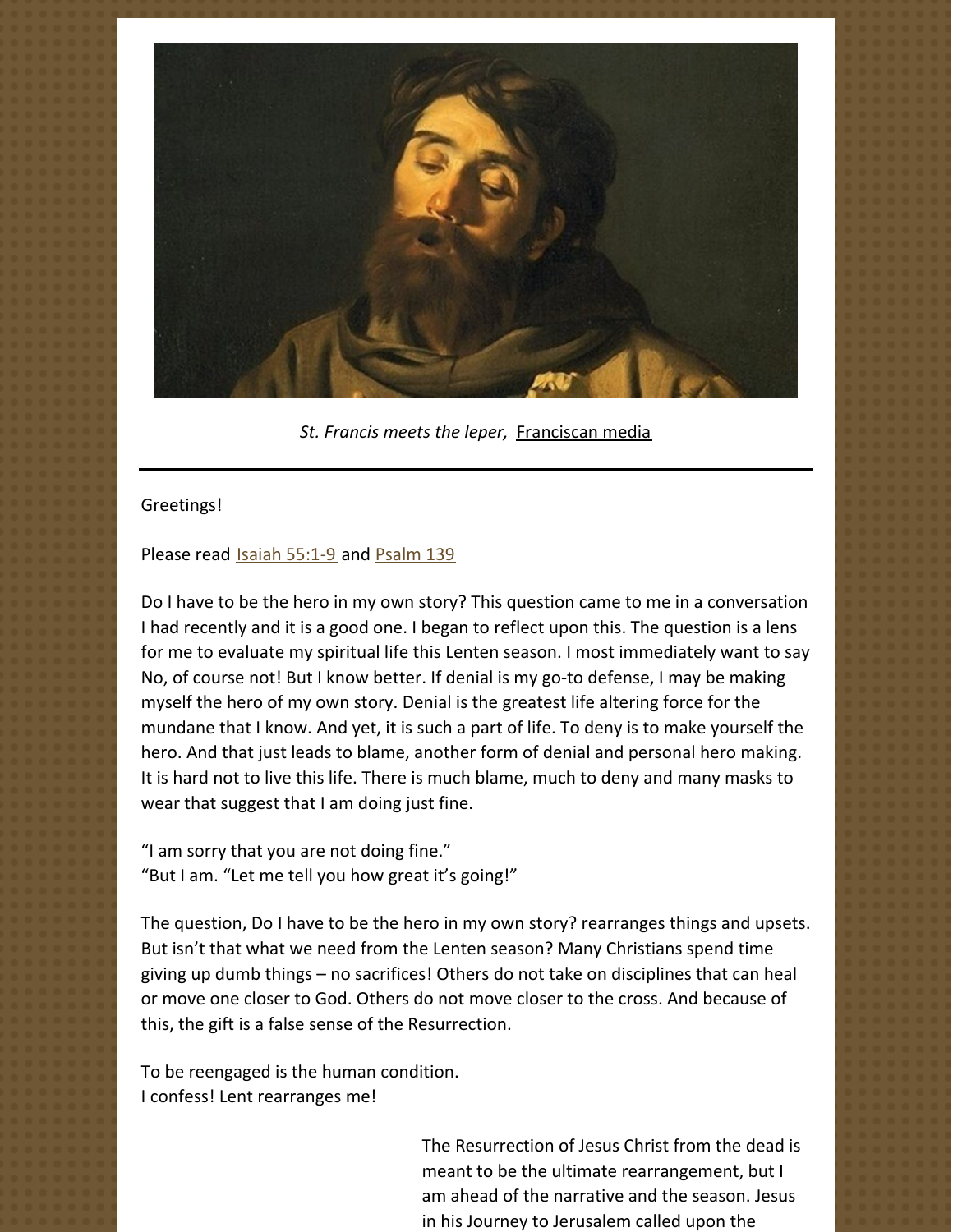

*St. Francis meets the leper,* [Franciscan](https://www.franciscanmedia.org/franciscan-spirit-blog/st-francis-meets-the-leper) media

## Greetings!

## Please read Isaiah [55:1-9](https://www.biblegateway.com/passage/?search=Isaiah+55%3A1-9&version=NRSV) and [Psalm](https://www.biblegateway.com/passage/?search=Psalm+139&version=NRSV) 139

Do I have to be the hero in my own story? This question came to me in a conversation I had recently and it is a good one. I began to reflect upon this. The question is a lens for me to evaluate my spiritual life this Lenten season. I most immediately want to say No, of course not! But I know better. If denial is my go-to defense, I may be making myself the hero of my own story. Denial is the greatest life altering force for the mundane that I know. And yet, it is such a part of life. To deny is to make yourself the hero. And that just leads to blame, another form of denial and personal hero making. It is hard not to live this life. There is much blame, much to deny and many masks to wear that suggest that I am doing just fine.

"I am sorry that you are not doing fine." "But I am. "Let me tell you how great it's going!"

The question, Do I have to be the hero in my own story? rearranges things and upsets. But isn't that what we need from the Lenten season? Many Christians spend time giving up dumb things – no sacrifices! Others do not take on disciplines that can heal or move one closer to God. Others do not move closer to the cross. And because of this, the gift is a false sense of the Resurrection.

To be reengaged is the human condition. I confess! Lent rearranges me!

> The Resurrection of Jesus Christ from the dead is meant to be the ultimate rearrangement, but I am ahead of the narrative and the season. Jesus in his Journey to Jerusalem called upon the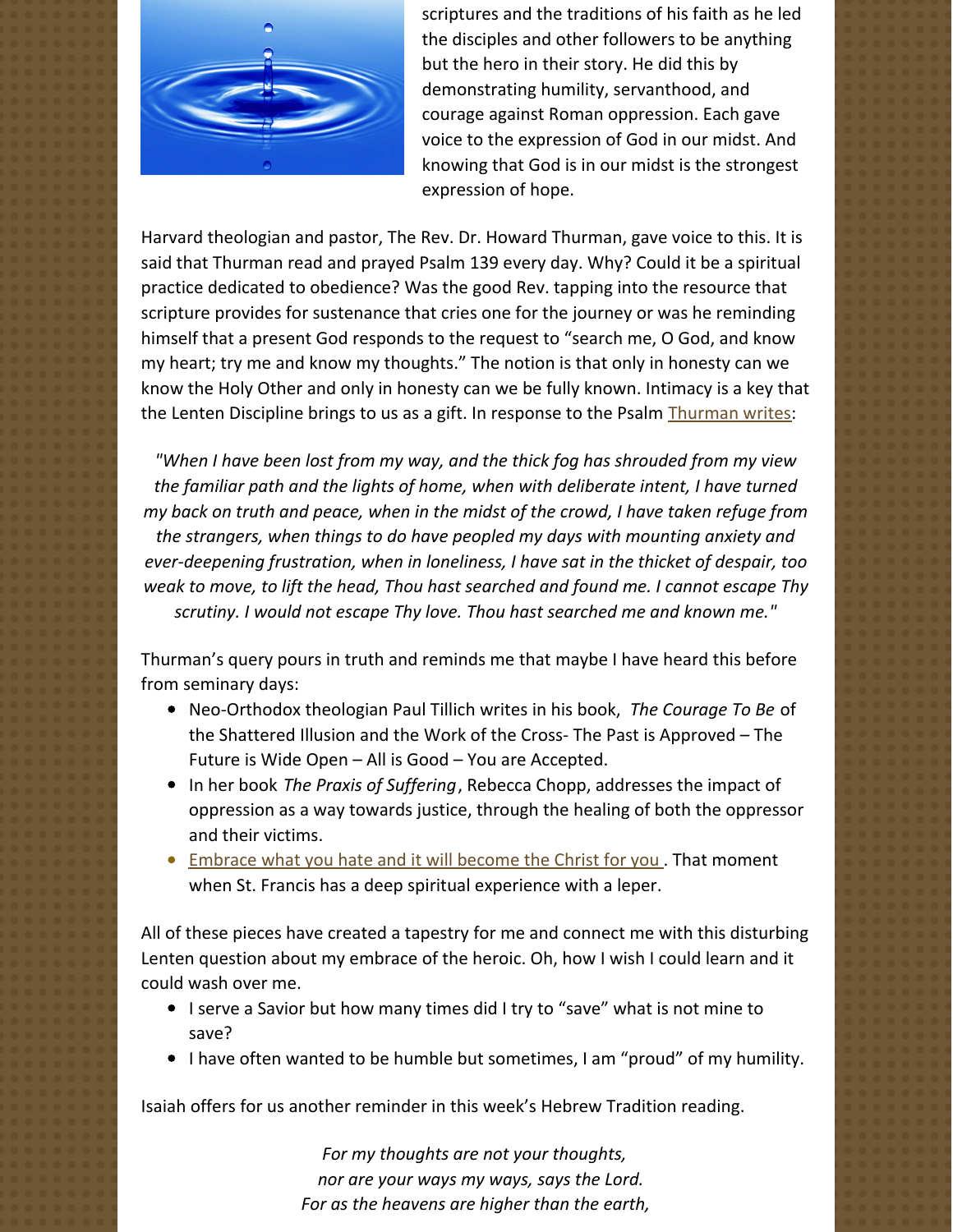

scriptures and the traditions of his faith as he led the disciples and other followers to be anything but the hero in their story. He did this by demonstrating humility, servanthood, and courage against Roman oppression. Each gave voice to the expression of God in our midst. And knowing that God is in our midst is the strongest expression of hope.

Harvard theologian and pastor, The Rev. Dr. Howard Thurman, gave voice to this. It is said that Thurman read and prayed Psalm 139 every day. Why? Could it be a spiritual practice dedicated to obedience? Was the good Rev. tapping into the resource that scripture provides for sustenance that cries one for the journey or was he reminding himself that a present God responds to the request to "search me, O God, and know my heart; try me and know my thoughts." The notion is that only in honesty can we know the Holy Other and only in honesty can we be fully known. Intimacy is a key that the Lenten Discipline brings to us as a gift. In response to the Psalm [Thurman](http://s3.us-west-2.amazonaws.com/pittsthurman%2Foriginal%2F8b7cfccf87f111e6edf850dbd60bdfc4.pdf?AWSAccessKeyId=AKIAI4CD764Y635IGLNA&Expires=1647529063&Signature=2Rj4J7cTK8Liqb9RqJ3hqaYP2co%3D) writes:

*"When I have been lost from my way, and the thick fog has shrouded from my view the familiar path and the lights of home, when with deliberate intent, I have turned my back on truth and peace, when in the midst of the crowd, I have taken refuge from the strangers, when things to do have peopled my days with mounting anxiety and ever-deepening frustration, when in loneliness, I have sat in the thicket of despair, too weak to move, to lift the head, Thou hast searched and found me. I cannot escape Thy scrutiny. I would not escape Thy love. Thou hast searched me and known me."*

Thurman's query pours in truth and reminds me that maybe I have heard this before from seminary days:

- Neo-Orthodox theologian Paul Tillich writes in his book, *The Courage To Be* of the Shattered Illusion and the Work of the Cross- The Past is Approved – The Future is Wide Open – All is Good – You are Accepted.
- In her book *The Praxis of Suffering*, Rebecca Chopp, addresses the impact of oppression as a way towards justice, through the healing of both the oppressor and their victims.
- **[Embrace](https://www.franciscanmedia.org/franciscan-spirit-blog/st-francis-meets-the-leper) what you hate and it will become the Christ for you. That moment** when St. Francis has a deep spiritual experience with a leper.

All of these pieces have created a tapestry for me and connect me with this disturbing Lenten question about my embrace of the heroic. Oh, how I wish I could learn and it could wash over me.

- I serve a Savior but how many times did I try to "save" what is not mine to save?
- I have often wanted to be humble but sometimes, I am "proud" of my humility.

Isaiah offers for us another reminder in this week's Hebrew Tradition reading.

*For my thoughts are not your thoughts, nor are your ways my ways, says the Lord. For as the heavens are higher than the earth,*